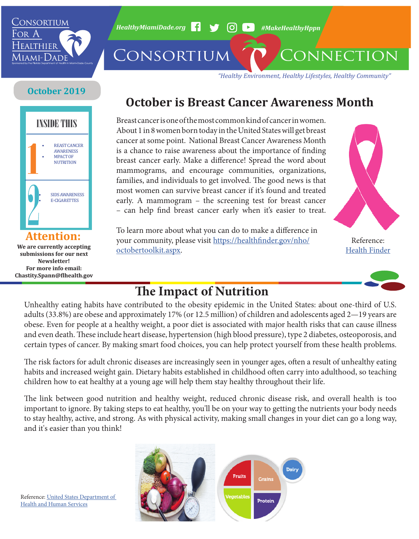

*HealthyMiamiDade.org* <sup>1</sup> → 6 (O) → #MakeHealthyHppn

CONSORTIUM CONNECTION

*"Healthy Environment, Healthy Lifestyles, Healthy Community"*

#### **October 2019**



**We are currently accepting submissions for our next Newsletter! For more info email: Chastity.Spann@flhealth.gov**

## **October is Breast Cancer Awareness Month**

Breast cancer is one of the most common kind of cancer in women. About 1 in 8 women born today in the United States will get breast cancer at some point. National Breast Cancer Awareness Month is a chance to raise awareness about the importance of finding breast cancer early. Make a difference! Spread the word about mammograms, and encourage communities, organizations, families, and individuals to get involved. The good news is that most women can survive breast cancer if it's found and treated early. A mammogram – the screening test for breast cancer – can help find breast cancer early when it's easier to treat.

To learn more about what you can do to make a difference in your community, please visit [https://healthfinder.gov/nho/](https://healthfinder.gov/nho/octobertoolkit.aspx) [octobertoolkit.aspx](https://healthfinder.gov/nho/octobertoolkit.aspx).



[Health Finder](https://healthfinder.gov/nho/octobertoolkit.aspx)



## **The Impact of Nutrition**

Unhealthy eating habits have contributed to the obesity epidemic in the United States: about one-third of U.S. adults (33.8%) are obese and approximately 17% (or 12.5 million) of children and adolescents aged 2—19 years are obese. Even for people at a healthy weight, a poor diet is associated with major health risks that can cause illness and even death. These include heart disease, hypertension (high blood pressure), type 2 diabetes, osteoporosis, and certain types of cancer. By making smart food choices, you can help protect yourself from these health problems.

The risk factors for adult chronic diseases are increasingly seen in younger ages, often a result of unhealthy eating habits and increased weight gain. Dietary habits established in childhood often carry into adulthood, so teaching children how to eat healthy at a young age will help them stay healthy throughout their life.

The link between good nutrition and healthy weight, reduced chronic disease risk, and overall health is too important to ignore. By taking steps to eat healthy, you'll be on your way to getting the nutrients your body needs to stay healthy, active, and strong. As with physical activity, making small changes in your diet can go a long way, and it's easier than you think!



Reference: [United States Department of](https://www.hhs.gov/fitness/eat-healthy/importance-of-good-nutrition/index.html)  [Health and Human Services](https://www.hhs.gov/fitness/eat-healthy/importance-of-good-nutrition/index.html)